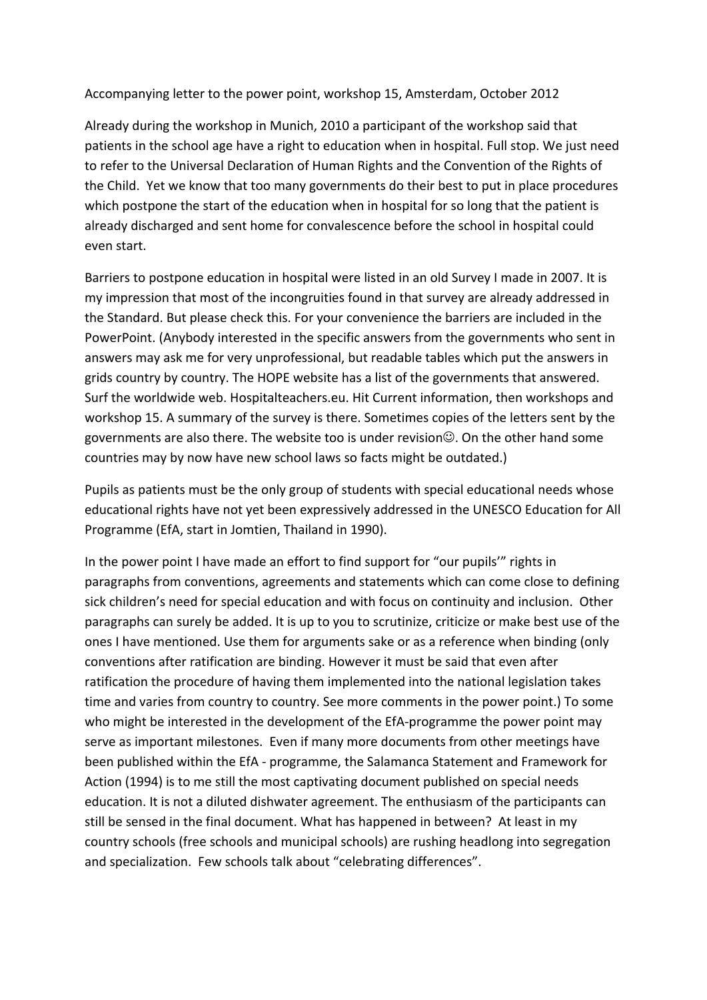Accompanying letter to the power point, workshop 15, Amsterdam, October 2012

Already during the workshop in Munich, 2010 a participant of the workshop said that patients in the school age have a right to education when in hospital. Full stop. We just need to refer to the Universal Declaration of Human Rights and the Convention of the Rights of the Child. Yet we know that too many governments do their best to put in place procedures which postpone the start of the education when in hospital for so long that the patient is already discharged and sent home for convalescence before the school in hospital could even start.

Barriers to postpone education in hospital were listed in an old Survey I made in 2007. It is my impression that most of the incongruities found in that survey are already addressed in the Standard. But please check this. For your convenience the barriers are included in the PowerPoint. (Anybody interested in the specific answers from the governments who sent in answers may ask me for very unprofessional, but readable tables which put the answers in grids country by country. The HOPE website has a list of the governments that answered. Surf the worldwide web. Hospitalteachers.eu. Hit Current information, then workshops and workshop 15. A summary of the survey is there. Sometimes copies of the letters sent by the governments are also there. The website too is under revision $\mathbb{O}$ . On the other hand some countries may by now have new school laws so facts might be outdated.)

Pupils as patients must be the only group of students with special educational needs whose educational rights have not yet been expressively addressed in the UNESCO Education for All Programme (EfA, start in Jomtien, Thailand in 1990).

In the power point I have made an effort to find support for "our pupils" rights in paragraphs from conventions, agreements and statements which can come close to defining sick children's need for special education and with focus on continuity and inclusion. Other paragraphs can surely be added. It is up to you to scrutinize, criticize or make best use of the ones I have mentioned. Use them for arguments sake or as a reference when binding (only conventions after ratification are binding. However it must be said that even after ratification the procedure of having them implemented into the national legislation takes time and varies from country to country. See more comments in the power point.) To some who might be interested in the development of the EfA-programme the power point may serve as important milestones. Even if many more documents from other meetings have been published within the EfA - programme, the Salamanca Statement and Framework for Action (1994) is to me still the most captivating document published on special needs education. It is not a diluted dishwater agreement. The enthusiasm of the participants can still be sensed in the final document. What has happened in between? At least in my country schools (free schools and municipal schools) are rushing headlong into segregation and specialization. Few schools talk about "celebrating differences".